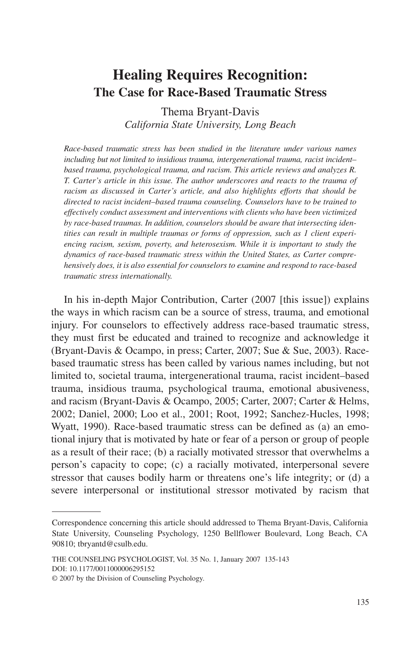# **Healing Requires Recognition: The Case for Race-Based Traumatic Stress**

Thema Bryant-Davis *California State University, Long Beach*

*Race-based traumatic stress has been studied in the literature under various names including but not limited to insidious trauma, intergenerational trauma, racist incident– based trauma, psychological trauma, and racism. This article reviews and analyzes R. T. Carter's article in this issue. The author underscores and reacts to the trauma of racism as discussed in Carter's article, and also highlights efforts that should be directed to racist incident–based trauma counseling. Counselors have to be trained to effectively conduct assessment and interventions with clients who have been victimized by race-based traumas. In addition, counselors should be aware that intersecting identities can result in multiple traumas or forms of oppression, such as 1 client experiencing racism, sexism, poverty, and heterosexism. While it is important to study the dynamics of race-based traumatic stress within the United States, as Carter comprehensively does, it is also essential for counselors to examine and respond to race-based traumatic stress internationally.*

In his in-depth Major Contribution, Carter (2007 [this issue]) explains the ways in which racism can be a source of stress, trauma, and emotional injury. For counselors to effectively address race-based traumatic stress, they must first be educated and trained to recognize and acknowledge it (Bryant-Davis & Ocampo, in press; Carter, 2007; Sue & Sue, 2003). Racebased traumatic stress has been called by various names including, but not limited to, societal trauma, intergenerational trauma, racist incident–based trauma, insidious trauma, psychological trauma, emotional abusiveness, and racism (Bryant-Davis & Ocampo, 2005; Carter, 2007; Carter & Helms, 2002; Daniel, 2000; Loo et al., 2001; Root, 1992; Sanchez-Hucles, 1998; Wyatt, 1990). Race-based traumatic stress can be defined as (a) an emotional injury that is motivated by hate or fear of a person or group of people as a result of their race; (b) a racially motivated stressor that overwhelms a person's capacity to cope; (c) a racially motivated, interpersonal severe stressor that causes bodily harm or threatens one's life integrity; or (d) a severe interpersonal or institutional stressor motivated by racism that

Correspondence concerning this article should addressed to Thema Bryant-Davis, California State University, Counseling Psychology, 1250 Bellflower Boulevard, Long Beach, CA 90810; tbryantd@csulb.edu.

THE COUNSELING PSYCHOLOGIST, Vol. 35 No. 1, January 2007 135-143 DOI: 10.1177/0011000006295152

<sup>© 2007</sup> by the Division of Counseling Psychology.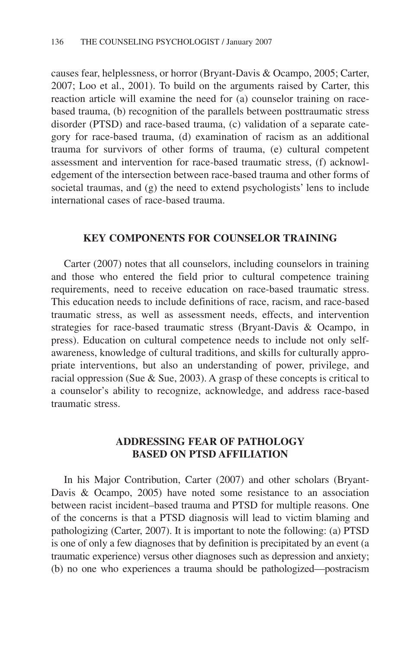causes fear, helplessness, or horror (Bryant-Davis & Ocampo, 2005; Carter, 2007; Loo et al., 2001). To build on the arguments raised by Carter, this reaction article will examine the need for (a) counselor training on racebased trauma, (b) recognition of the parallels between posttraumatic stress disorder (PTSD) and race-based trauma, (c) validation of a separate category for race-based trauma, (d) examination of racism as an additional trauma for survivors of other forms of trauma, (e) cultural competent assessment and intervention for race-based traumatic stress, (f) acknowledgement of the intersection between race-based trauma and other forms of societal traumas, and (g) the need to extend psychologists' lens to include international cases of race-based trauma.

# **KEY COMPONENTS FOR COUNSELOR TRAINING**

Carter (2007) notes that all counselors, including counselors in training and those who entered the field prior to cultural competence training requirements, need to receive education on race-based traumatic stress. This education needs to include definitions of race, racism, and race-based traumatic stress, as well as assessment needs, effects, and intervention strategies for race-based traumatic stress (Bryant-Davis & Ocampo, in press). Education on cultural competence needs to include not only selfawareness, knowledge of cultural traditions, and skills for culturally appropriate interventions, but also an understanding of power, privilege, and racial oppression (Sue & Sue, 2003). A grasp of these concepts is critical to a counselor's ability to recognize, acknowledge, and address race-based traumatic stress.

# **ADDRESSING FEAR OF PATHOLOGY BASED ON PTSD AFFILIATION**

In his Major Contribution, Carter (2007) and other scholars (Bryant-Davis & Ocampo, 2005) have noted some resistance to an association between racist incident–based trauma and PTSD for multiple reasons. One of the concerns is that a PTSD diagnosis will lead to victim blaming and pathologizing (Carter, 2007). It is important to note the following: (a) PTSD is one of only a few diagnoses that by definition is precipitated by an event (a traumatic experience) versus other diagnoses such as depression and anxiety; (b) no one who experiences a trauma should be pathologized—postracism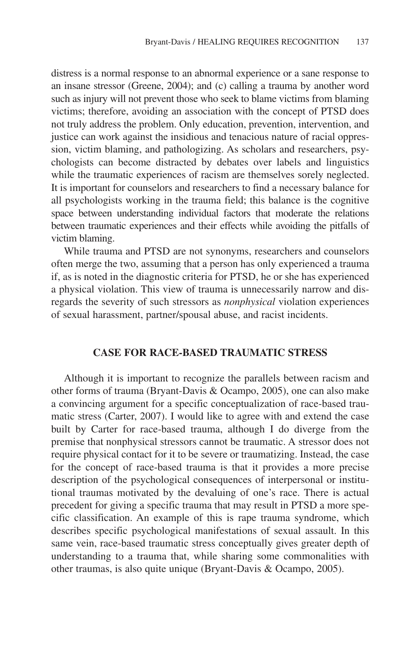distress is a normal response to an abnormal experience or a sane response to an insane stressor (Greene, 2004); and (c) calling a trauma by another word such as injury will not prevent those who seek to blame victims from blaming victims; therefore, avoiding an association with the concept of PTSD does not truly address the problem. Only education, prevention, intervention, and justice can work against the insidious and tenacious nature of racial oppression, victim blaming, and pathologizing. As scholars and researchers, psychologists can become distracted by debates over labels and linguistics while the traumatic experiences of racism are themselves sorely neglected. It is important for counselors and researchers to find a necessary balance for all psychologists working in the trauma field; this balance is the cognitive space between understanding individual factors that moderate the relations between traumatic experiences and their effects while avoiding the pitfalls of victim blaming.

While trauma and PTSD are not synonyms, researchers and counselors often merge the two, assuming that a person has only experienced a trauma if, as is noted in the diagnostic criteria for PTSD, he or she has experienced a physical violation. This view of trauma is unnecessarily narrow and disregards the severity of such stressors as *nonphysical* violation experiences of sexual harassment, partner/spousal abuse, and racist incidents.

# **CASE FOR RACE-BASED TRAUMATIC STRESS**

Although it is important to recognize the parallels between racism and other forms of trauma (Bryant-Davis & Ocampo, 2005), one can also make a convincing argument for a specific conceptualization of race-based traumatic stress (Carter, 2007). I would like to agree with and extend the case built by Carter for race-based trauma, although I do diverge from the premise that nonphysical stressors cannot be traumatic. A stressor does not require physical contact for it to be severe or traumatizing. Instead, the case for the concept of race-based trauma is that it provides a more precise description of the psychological consequences of interpersonal or institutional traumas motivated by the devaluing of one's race. There is actual precedent for giving a specific trauma that may result in PTSD a more specific classification. An example of this is rape trauma syndrome, which describes specific psychological manifestations of sexual assault. In this same vein, race-based traumatic stress conceptually gives greater depth of understanding to a trauma that, while sharing some commonalities with other traumas, is also quite unique (Bryant-Davis & Ocampo, 2005).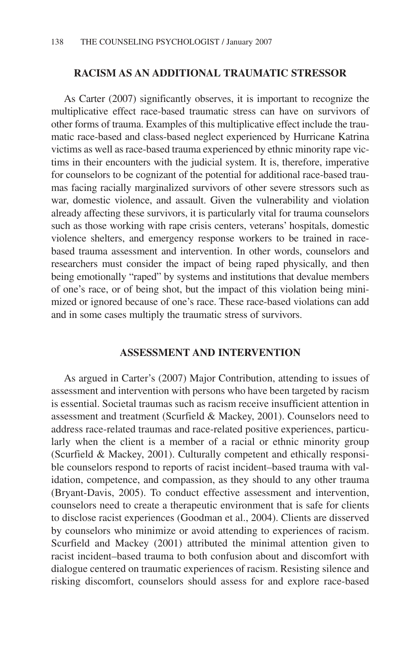# **RACISM AS AN ADDITIONAL TRAUMATIC STRESSOR**

As Carter (2007) significantly observes, it is important to recognize the multiplicative effect race-based traumatic stress can have on survivors of other forms of trauma. Examples of this multiplicative effect include the traumatic race-based and class-based neglect experienced by Hurricane Katrina victims as well as race-based trauma experienced by ethnic minority rape victims in their encounters with the judicial system. It is, therefore, imperative for counselors to be cognizant of the potential for additional race-based traumas facing racially marginalized survivors of other severe stressors such as war, domestic violence, and assault. Given the vulnerability and violation already affecting these survivors, it is particularly vital for trauma counselors such as those working with rape crisis centers, veterans' hospitals, domestic violence shelters, and emergency response workers to be trained in racebased trauma assessment and intervention. In other words, counselors and researchers must consider the impact of being raped physically, and then being emotionally "raped" by systems and institutions that devalue members of one's race, or of being shot, but the impact of this violation being minimized or ignored because of one's race. These race-based violations can add and in some cases multiply the traumatic stress of survivors.

# **ASSESSMENT AND INTERVENTION**

As argued in Carter's (2007) Major Contribution, attending to issues of assessment and intervention with persons who have been targeted by racism is essential. Societal traumas such as racism receive insufficient attention in assessment and treatment (Scurfield & Mackey, 2001). Counselors need to address race-related traumas and race-related positive experiences, particularly when the client is a member of a racial or ethnic minority group (Scurfield & Mackey, 2001). Culturally competent and ethically responsible counselors respond to reports of racist incident–based trauma with validation, competence, and compassion, as they should to any other trauma (Bryant-Davis, 2005). To conduct effective assessment and intervention, counselors need to create a therapeutic environment that is safe for clients to disclose racist experiences (Goodman et al., 2004). Clients are disserved by counselors who minimize or avoid attending to experiences of racism. Scurfield and Mackey (2001) attributed the minimal attention given to racist incident–based trauma to both confusion about and discomfort with dialogue centered on traumatic experiences of racism. Resisting silence and risking discomfort, counselors should assess for and explore race-based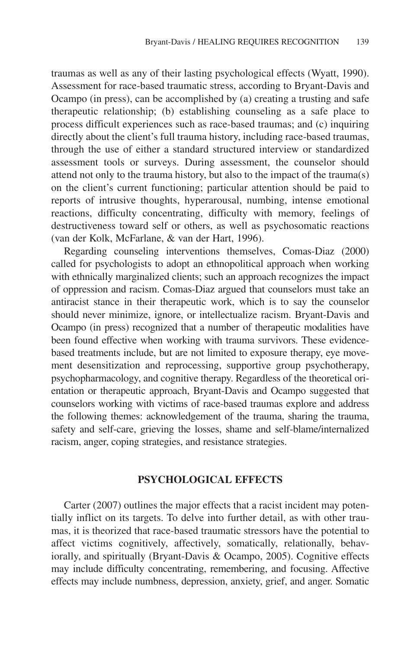traumas as well as any of their lasting psychological effects (Wyatt, 1990). Assessment for race-based traumatic stress, according to Bryant-Davis and Ocampo (in press), can be accomplished by (a) creating a trusting and safe therapeutic relationship; (b) establishing counseling as a safe place to process difficult experiences such as race-based traumas; and (c) inquiring directly about the client's full trauma history, including race-based traumas, through the use of either a standard structured interview or standardized assessment tools or surveys. During assessment, the counselor should attend not only to the trauma history, but also to the impact of the trauma(s) on the client's current functioning; particular attention should be paid to reports of intrusive thoughts, hyperarousal, numbing, intense emotional reactions, difficulty concentrating, difficulty with memory, feelings of destructiveness toward self or others, as well as psychosomatic reactions (van der Kolk, McFarlane, & van der Hart, 1996).

Regarding counseling interventions themselves, Comas-Diaz (2000) called for psychologists to adopt an ethnopolitical approach when working with ethnically marginalized clients; such an approach recognizes the impact of oppression and racism. Comas-Diaz argued that counselors must take an antiracist stance in their therapeutic work, which is to say the counselor should never minimize, ignore, or intellectualize racism. Bryant-Davis and Ocampo (in press) recognized that a number of therapeutic modalities have been found effective when working with trauma survivors. These evidencebased treatments include, but are not limited to exposure therapy, eye movement desensitization and reprocessing, supportive group psychotherapy, psychopharmacology, and cognitive therapy. Regardless of the theoretical orientation or therapeutic approach, Bryant-Davis and Ocampo suggested that counselors working with victims of race-based traumas explore and address the following themes: acknowledgement of the trauma, sharing the trauma, safety and self-care, grieving the losses, shame and self-blame/internalized racism, anger, coping strategies, and resistance strategies.

#### **PSYCHOLOGICAL EFFECTS**

Carter (2007) outlines the major effects that a racist incident may potentially inflict on its targets. To delve into further detail, as with other traumas, it is theorized that race-based traumatic stressors have the potential to affect victims cognitively, affectively, somatically, relationally, behaviorally, and spiritually (Bryant-Davis & Ocampo, 2005). Cognitive effects may include difficulty concentrating, remembering, and focusing. Affective effects may include numbness, depression, anxiety, grief, and anger. Somatic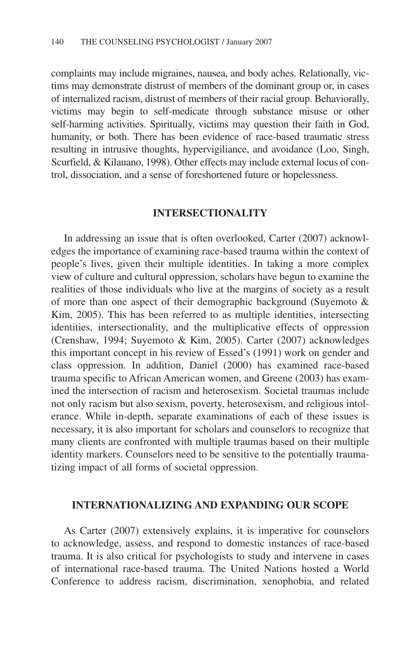complaints may include migraines, nausea, and body aches. Relationally, victims may demonstrate distrust of members of the dominant group or, in cases of internalized racism, distrust of members of their racial group. Behaviorally, victims may begin to self-medicate through substance misuse or other self-harming activities. Spiritually, victims may question their faith in God, humanity, or both. There has been evidence of race-based traumatic stress resulting in intrusive thoughts, hypervigiliance, and avoidance (Loo, Singh, Scurfield, & Kilauano, 1998). Other effects may include external locus of control, dissociation, and a sense of foreshortened future or hopelessness.

# **INTERSECTIONALITY**

In addressing an issue that is often overlooked, Carter (2007) acknowledges the importance of examining race-based trauma within the context of people's lives, given their multiple identities. In taking a more complex view of culture and cultural oppression, scholars have begun to examine the realities of those individuals who live at the margins of society as a result of more than one aspect of their demographic background (Suyemoto & Kim, 2005). This has been referred to as multiple identities, intersecting identities, intersectionality, and the multiplicative effects of oppression (Crenshaw, 1994; Suyemoto & Kim, 2005). Carter (2007) acknowledges this important concept in his review of Essed's (1991) work on gender and class oppression. In addition, Daniel (2000) has examined race-based trauma specific to African American women, and Greene (2003) has examined the intersection of racism and heterosexism. Societal traumas include not only racism but also sexism, poverty, heterosexism, and religious intolerance. While in-depth, separate examinations of each of these issues is necessary, it is also important for scholars and counselors to recognize that many clients are confronted with multiple traumas based on their multiple identity markers. Counselors need to be sensitive to the potentially traumatizing impact of all forms of societal oppression.

#### **INTERNATIONALIZING AND EXPANDING OUR SCOPE**

As Carter (2007) extensively explains, it is imperative for counselors to acknowledge, assess, and respond to domestic instances of race-based trauma. It is also critical for psychologists to study and intervene in cases of international race-based trauma. The United Nations hosted a World Conference to address racism, discrimination, xenophobia, and related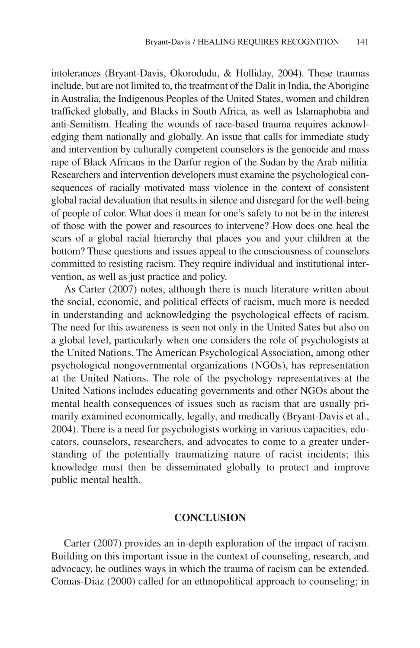intolerances (Bryant-Davis, Okorodudu, & Holliday, 2004). These traumas include, but are not limited to, the treatment of the Dalit in India, the Aborigine in Australia, the Indigenous Peoples of the United States, women and children trafficked globally, and Blacks in South Africa, as well as Islamaphobia and anti-Semitism. Healing the wounds of race-based trauma requires acknowledging them nationally and globally. An issue that calls for immediate study and intervention by culturally competent counselors is the genocide and mass rape of Black Africans in the Darfur region of the Sudan by the Arab militia. Researchers and intervention developers must examine the psychological consequences of racially motivated mass violence in the context of consistent global racial devaluation that results in silence and disregard for the well-being of people of color. What does it mean for one's safety to not be in the interest of those with the power and resources to intervene? How does one heal the scars of a global racial hierarchy that places you and your children at the bottom? These questions and issues appeal to the consciousness of counselors committed to resisting racism. They require individual and institutional intervention, as well as just practice and policy.

As Carter (2007) notes, although there is much literature written about the social, economic, and political effects of racism, much more is needed in understanding and acknowledging the psychological effects of racism. The need for this awareness is seen not only in the United Sates but also on a global level, particularly when one considers the role of psychologists at the United Nations. The American Psychological Association, among other psychological nongovernmental organizations (NGOs), has representation at the United Nations. The role of the psychology representatives at the United Nations includes educating governments and other NGOs about the mental health consequences of issues such as racism that are usually primarily examined economically, legally, and medically (Bryant-Davis et al., 2004). There is a need for psychologists working in various capacities, educators, counselors, researchers, and advocates to come to a greater understanding of the potentially traumatizing nature of racist incidents; this knowledge must then be disseminated globally to protect and improve public mental health.

#### **CONCLUSION**

Carter (2007) provides an in-depth exploration of the impact of racism. Building on this important issue in the context of counseling, research, and advocacy, he outlines ways in which the trauma of racism can be extended. Comas-Diaz (2000) called for an ethnopolitical approach to counseling; in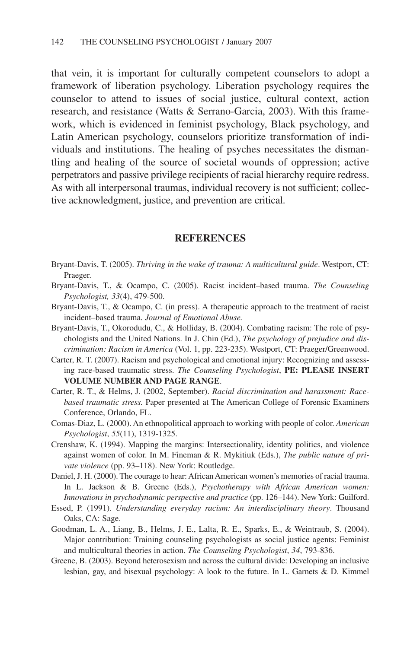that vein, it is important for culturally competent counselors to adopt a framework of liberation psychology. Liberation psychology requires the counselor to attend to issues of social justice, cultural context, action research, and resistance (Watts & Serrano-Garcia, 2003). With this framework, which is evidenced in feminist psychology, Black psychology, and Latin American psychology, counselors prioritize transformation of individuals and institutions. The healing of psyches necessitates the dismantling and healing of the source of societal wounds of oppression; active perpetrators and passive privilege recipients of racial hierarchy require redress. As with all interpersonal traumas, individual recovery is not sufficient; collective acknowledgment, justice, and prevention are critical.

#### **REFERENCES**

- Bryant-Davis, T. (2005). *Thriving in the wake of trauma: A multicultural guide*. Westport, CT: Praeger.
- Bryant-Davis, T., & Ocampo, C. (2005). Racist incident–based trauma. *The Counseling Psychologist, 33*(4), 479-500.
- Bryant-Davis, T., & Ocampo, C. (in press). A therapeutic approach to the treatment of racist incident–based trauma. *Journal of Emotional Abuse.*
- Bryant-Davis, T., Okorodudu, C., & Holliday, B. (2004). Combating racism: The role of psychologists and the United Nations. In J. Chin (Ed.), *The psychology of prejudice and discrimination: Racism in America* (Vol. 1, pp. 223-235). Westport, CT: Praeger/Greenwood.
- Carter, R. T. (2007). Racism and psychological and emotional injury: Recognizing and assessing race-based traumatic stress. *The Counseling Psychologist*, **PE: PLEASE INSERT VOLUME NUMBER AND PAGE RANGE**.
- Carter, R. T., & Helms, J. (2002, September). *Racial discrimination and harassment: Racebased traumatic stress.* Paper presented at The American College of Forensic Examiners Conference, Orlando, FL.
- Comas-Diaz, L. (2000). An ethnopolitical approach to working with people of color. *American Psychologist*, *55*(11), 1319-1325.
- Crenshaw, K. (1994). Mapping the margins: Intersectionality, identity politics, and violence against women of color. In M. Fineman & R. Mykitiuk (Eds.), *The public nature of private violence* (pp. 93–118). New York: Routledge.
- Daniel, J. H. (2000). The courage to hear: African American women's memories of racial trauma. In L. Jackson & B. Greene (Eds.), *Psychotherapy with African American women: Innovations in psychodynamic perspective and practice* (pp. 126–144). New York: Guilford.
- Essed, P. (1991). *Understanding everyday racism: An interdisciplinary theory*. Thousand Oaks, CA: Sage.
- Goodman, L. A., Liang, B., Helms, J. E., Lalta, R. E., Sparks, E., & Weintraub, S. (2004). Major contribution: Training counseling psychologists as social justice agents: Feminist and multicultural theories in action. *The Counseling Psychologist*, *34*, 793-836.
- Greene, B. (2003). Beyond heterosexism and across the cultural divide: Developing an inclusive lesbian, gay, and bisexual psychology: A look to the future. In L. Garnets & D. Kimmel